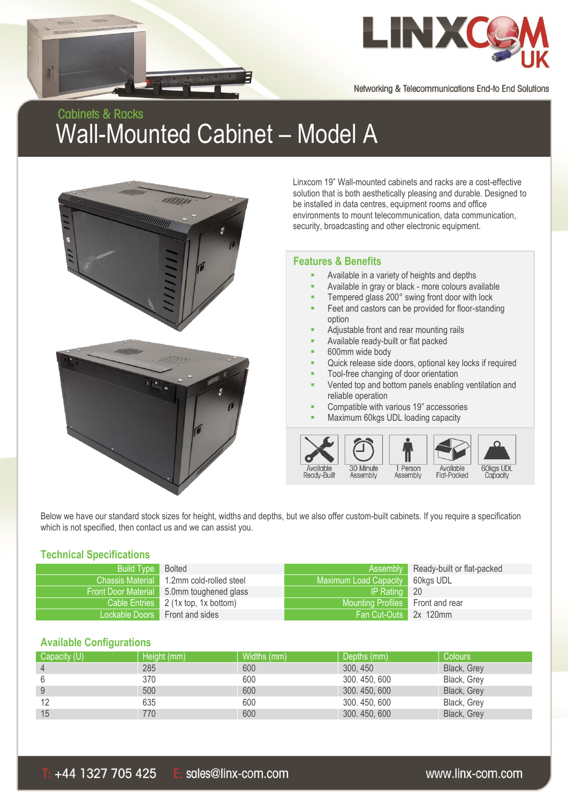

Networking & Telecommunications End-to End Solutions

# **Cabinets & Racks** Wall-Mounted Cabinet – Model A



Linxcom 19" Wall-mounted cabinets and racks are a cost-effective solution that is both aesthetically pleasing and durable. Designed to be installed in data centres, equipment rooms and office environments to mount telecommunication, data communication, security, broadcasting and other electronic equipment.

#### **Features & Benefits**

- Available in a variety of heights and depths
- Available in gray or black more colours available
- Tempered glass 200° swing front door with lock
- Feet and castors can be provided for floor-standing option
- Adjustable front and rear mounting rails
- Available ready-built or flat packed
- 600mm wide body
- Quick release side doors, optional key locks if required
- Tool-free changing of door orientation
- Vented top and bottom panels enabling ventilation and reliable operation
- Compatible with various 19" accessories
- Maximum 60kgs UDL loading capacity



Below we have our standard stock sizes for height, widths and depths, but we also offer custom-built cabinets. If you require a specification which is not specified, then contact us and we can assist you.

#### **Technical Specifications**

**SERREN** 

0888880

,,,,,,,,,,,,,,,,,,,,,,,,,,,,,

| <b>Build Type</b>          | <b>Bolted</b>                       | Assembly                         | Ready-built or flat-packed |
|----------------------------|-------------------------------------|----------------------------------|----------------------------|
| <b>Chassis Material</b>    | 1.2mm cold-rolled steel             | Maximum Load Capacity 60kgs UDL  |                            |
| <b>Front Door Material</b> | 5.0mm toughened glass               | IP Rating                        | - 20                       |
|                            | Cable Entries 2 (1x top, 1x bottom) | Mounting Profiles Front and rear |                            |
| Lockable Doors             | Front and sides                     | Fan Cut-Outs 2x 120mm            |                            |

#### **Available Configurations**

| Capacity (U)   | Height (mm) | Widths (mm) | Depths (mm) | <b>Colours</b> |
|----------------|-------------|-------------|-------------|----------------|
| $\overline{4}$ | 285         | 600         | 300, 450    | Black, Grey    |
| 6              | 370         | 600         | 300.450,600 | Black, Grey    |
| 9              | 500         | 600         | 300.450,600 | Black, Grey    |
| 12             | 635         | 600         | 300.450,600 | Black, Grey    |
| 15             | 770         | 600         | 300.450,600 | Black, Grey    |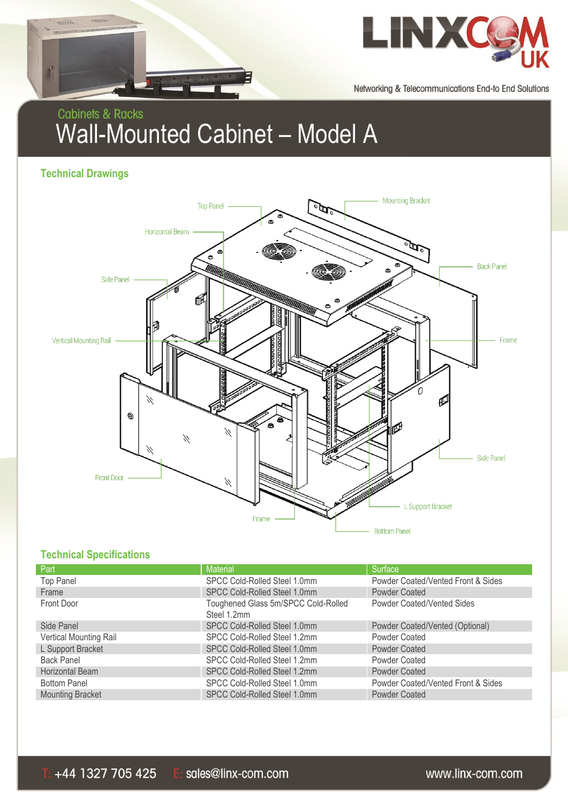



Networking & Telecommunications End-to End Solutions

# **Cabinets & Racks** Wall-Mounted Cabinet – Model A

**Technical Drawings**



## **Technical Specifications**

| Part                    | <b>Material</b>                                    | Surface                            |
|-------------------------|----------------------------------------------------|------------------------------------|
| <b>Top Panel</b>        | SPCC Cold-Rolled Steel 1.0mm                       | Powder Coated/Vented Front & Sides |
| Frame                   | SPCC Cold-Rolled Steel 1.0mm                       | Powder Coated                      |
| Front Door              | Toughened Glass 5m/SPCC Cold-Rolled<br>Steel 1.2mm | <b>Powder Coated/Vented Sides</b>  |
| Side Panel              | SPCC Cold-Rolled Steel 1.0mm                       | Powder Coated/Vented (Optional)    |
| Vertical Mounting Rail  | SPCC Cold-Rolled Steel 1.2mm                       | <b>Powder Coated</b>               |
| L Support Bracket       | SPCC Cold-Rolled Steel 1.0mm                       | <b>Powder Coated</b>               |
| <b>Back Panel</b>       | SPCC Cold-Rolled Steel 1.2mm                       | Powder Coated                      |
| Horizontal Beam         | SPCC Cold-Rolled Steel 1.2mm                       | <b>Powder Coated</b>               |
| <b>Bottom Panel</b>     | SPCC Cold-Rolled Steel 1.0mm                       | Powder Coated/Vented Front & Sides |
| <b>Mounting Bracket</b> | SPCC Cold-Rolled Steel 1.0mm                       | <b>Powder Coated</b>               |